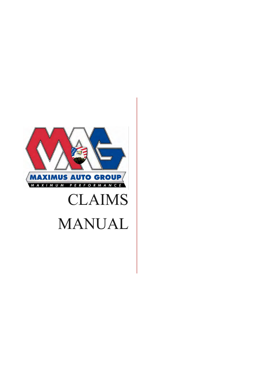

# CLAIMS MANUAL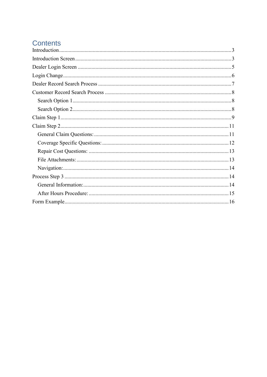# **Contents**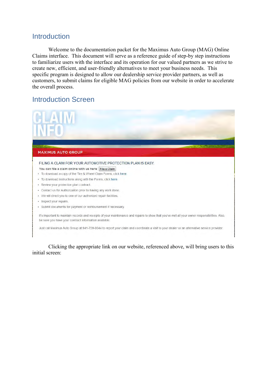# <span id="page-2-0"></span>**Introduction**

 Welcome to the documentation packet for the Maximus Auto Group (MAG) Online Claims interface. This document will serve as a reference guide of step-by step instructions to familiarize users with the interface and its operation for our valued partners as we strive to create new, efficient, and user-friendly alternatives to meet your business needs. This specific program is designed to allow our dealership service provider partners, as well as customers, to submit claims for eligible MAG policies from our website in order to accelerate the overall process.

# <span id="page-2-1"></span>Introduction Screen



 Clicking the appropriate link on our website, referenced above, will bring users to this initial screen: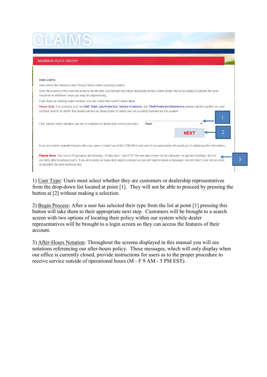| <b>MAXIMUS AUTO GROUP</b>                                                                                                                                                                                                                                                                                                                                |             |  |
|----------------------------------------------------------------------------------------------------------------------------------------------------------------------------------------------------------------------------------------------------------------------------------------------------------------------------------------------------------|-------------|--|
| <b>Web Claims</b>                                                                                                                                                                                                                                                                                                                                        |             |  |
| Welcome to the Maximus Auto Group Online claim reporting system.                                                                                                                                                                                                                                                                                         |             |  |
| Over the course of the next few screens we will take you through the steps necessary to file a claim under one of our plans to ensure the best                                                                                                                                                                                                           |             |  |
|                                                                                                                                                                                                                                                                                                                                                          |             |  |
| response to whatever issue you may be experiencing.<br>If you have an existing claim number, you can check the current status here.                                                                                                                                                                                                                      |             |  |
|                                                                                                                                                                                                                                                                                                                                                          |             |  |
| Please Note: For products such as GAP, Total Loss Protection, Service Contracts, and Theft Protection/Deterrence please call the number on your<br>contract directly to obtain the fastest service as those types of claims are not currently handled by this system.<br>First, please select whether you are a customer or dealership service provider. | None        |  |
|                                                                                                                                                                                                                                                                                                                                                          | <b>NEXT</b> |  |

1) User Type: Users must select whether they are customers or dealership representatives from the drop-down list located at point [1]. They will not be able to proceed by pressing the button at [2] without making a selection.

2) Begin Process: After a user has selected their type from the list at point [1] pressing this button will take them to their appropriate next step. Customers will be brought to a search screen with two options of locating their policy within our system while dealer representatives will be brought to a login screen so they can access the features of their account.

3) After-Hours Notation: Throughout the screens displayed in this manual you will see notations referencing our after-hours policy. These messages, which will only display when our office is currently closed, provide instructions for users as to the proper procedure to receive service outside of operational hours (M - F 9 AM - 5 PM EST).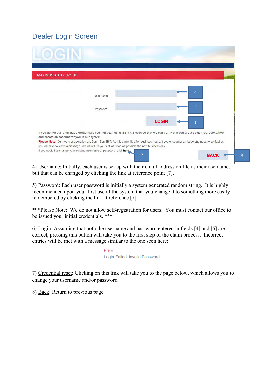# <span id="page-4-0"></span>Dealer Login Screen

| <b>MAXIMUS AUTO GROUP</b>                                                                                                                                                                                                                                 |          |              |            |  |
|-----------------------------------------------------------------------------------------------------------------------------------------------------------------------------------------------------------------------------------------------------------|----------|--------------|------------|--|
|                                                                                                                                                                                                                                                           | Username |              |            |  |
|                                                                                                                                                                                                                                                           | Password |              |            |  |
|                                                                                                                                                                                                                                                           |          | <b>LOGIN</b> | 6          |  |
| If you do not currently have credentials you must call us at (941) 739-0044 so that we can verify that you are a dealer representative<br>and create an account for you in our system.                                                                    |          |              |            |  |
| Please Note: Our hours of operation are 9am - 5pm EST. As it is currently after business hours, if you encounter an issue and need to contact us<br>you will have to leave a message. We will return your call as soon as possible the next business day. |          |              |            |  |
| If you would like change your existing username or password, click here.                                                                                                                                                                                  |          | ⇁            | <b>BAC</b> |  |

4) Username: Initially, each user is set up with their email address on file as their username, but that can be changed by clicking the link at reference point [7].

5) Password: Each user password is initially a system generated random string. It is highly recommended upon your first use of the system that you change it to something more easily remembered by clicking the link at reference [7].

\*\*\*Please Note: We do not allow self-registration for users. You must contact our office to be issued your initial credentials. \*\*\*

6) Login: Assuming that both the username and password entered in fields [4] and [5] are correct, pressing this button will take you to the first step of the claim process. Incorrect entries will be met with a message similar to the one seen here:

> Error: Login Failed. Invalid Password.

7) Credential reset: Clicking on this link will take you to the page below, which allows you to change your username and/or password.

8) Back: Return to previous page.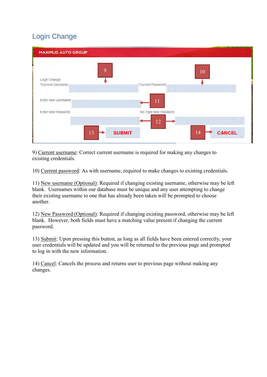# <span id="page-5-0"></span>Login Change

| <b>MAXIMUS AUTO GROUP</b>               |                           |               |
|-----------------------------------------|---------------------------|---------------|
| 9<br>Login Change<br>*Current Username: | 10<br>*Current Password:  |               |
| Enter New UserName:                     | 11                        |               |
| Enter New Password:                     | Re-Type New Password:     |               |
| 13                                      | 12<br><b>SUBMIT</b><br>14 | <b>CANCEL</b> |

9) Current username: Correct current username is required for making any changes to existing credentials.

10) Current password: As with username, required to make changes to existing credentials.

11) New username (Optional): Required if changing existing username, otherwise may be left blank. Usernames within our database must be unique and any user attempting to change their existing username to one that has already been taken will be prompted to choose another.

12) New Password (Optional): Required if changing existing password, otherwise may be left blank. However, both fields must have a matching value present if changing the current password.

13) Submit: Upon pressing this button, as long as all fields have been entered correctly, your user credentials will be updated and you will be returned to the previous page and prompted to log in with the new information.

14) Cancel: Cancels the process and returns user to previous page without making any changes.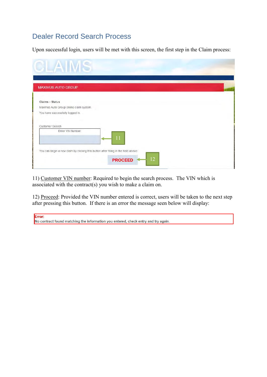# <span id="page-6-0"></span>Dealer Record Search Process

Upon successful login, users will be met with this screen, the first step in the Claim process:

| <b>MAXIMUS AUTO GROUP</b>               |  |  |
|-----------------------------------------|--|--|
| Claims - Status                         |  |  |
| Maximus Auto Group online claim system. |  |  |
| You have successfully logged in.        |  |  |
| Customer Search                         |  |  |
| Enter VIN Number:<br>11                 |  |  |
|                                         |  |  |

11) Customer VIN number: Required to begin the search process. The VIN which is associated with the contract(s) you wish to make a claim on.

12) Proceed: Provided the VIN number entered is correct, users will be taken to the next step after pressing this button. If there is an error the message seen below will display:

| Error: |                                                                                    |
|--------|------------------------------------------------------------------------------------|
|        |                                                                                    |
|        | No contract found matching the information you entered, check entry and try again. |
|        |                                                                                    |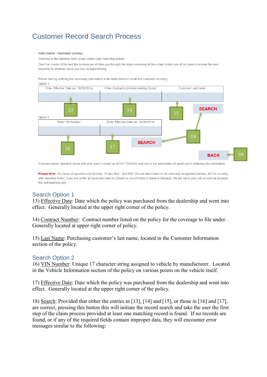# <span id="page-7-0"></span>Customer Record Search Process

#### Web Claims - Customer Lookun

Welcome to the Maximus Auto Group Online claim reporting system.

Over the course of the next few screens we will take you through the steps necessary to file a claim under one of our plans to ensure the best response to whatever issue you may be experiencing.

Please start by entering the necessary information in the table below to locate the customer record(s).



If you encounter repeated issues with your query, contact us at 941-739-0044 and one of our associates will assist you in obtaining the information.

Please Note: Our hours of operation are Monday - Friday 9am - 5pm EST. We are also closed on all nationally recognized holidays. As it is currently after business hours, if you encounter an issue and need to contact us you will have to leave a message. We will return your call as soon as possible the next business day.

## <span id="page-7-1"></span>Search Option 1

13) Effective Date: Date which the policy was purchased from the dealership and went into effect. Generally located at the upper right corner of the policy.

14) Contract Number: Contract number listed on the policy for the coverage to file under. Generally located at upper right corner of policy.

15) Last Name: Purchasing customer's last name, located in the Customer Information section of the policy.

### <span id="page-7-2"></span>Search Option 2

16) VIN Number: Unique 17 character string assigned to vehicle by manufacturer. Located in the Vehicle Information section of the policy on various points on the vehicle itself.

17) Effective Date: Date which the policy was purchased from the dealership and went into effect. Generally located at the upper right corner of the policy.

18) Search: Provided that either the entries in [13], [14] and [15], or those in [16] and [17], are correct, pressing this button this will initiate the record search and take the user the first step of the claim process provided at least one matching record is found. If no records are found, or if any of the required fields contain improper data, they will encounter error messages similar to the following: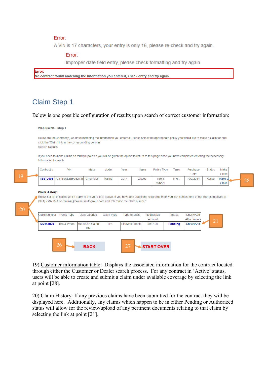### **Error:**

A VIN is 17 characters, your entry is only 16, please re-check and try again.

### Error:

Improper date field entry, please check formatting and try again.

Error: No contract found matching the information you entered, check entry and try again.

# <span id="page-8-0"></span>Claim Step 1

### Below is one possible configuration of results upon search of correct customer information:

Web Claims - Step 1

Below are the contract(s) we have matching the information you entered. Please select the appropriate policy you would like to make a claim for and click the 'Claim' link in the corresponding column

Search Results:

If you need to make claims on multiple policies you will be given the option to return to this page once you have completed entering the necessary information for each

|  | Contract # | <b>VIN</b>                                  | Make | Model  | Year | Name   | Policy Type | Term | Purchase  | <b>Status</b> | Make   |          |
|--|------------|---------------------------------------------|------|--------|------|--------|-------------|------|-----------|---------------|--------|----------|
|  |            |                                             |      |        |      |        |             |      | Date      |               | Claim  |          |
|  |            | <b>TEST0001</b> 1G11B5SL6EF262136 Chevrolet |      | Malibu | 2014 | Zissou | Tire &      | 5 YR | 10/2/2014 | Active        | Make a | $\cap$ C |
|  |            |                                             |      |        |      |        | Wheel       |      |           |               | Claim  | ۷O       |

#### **Claim History:**

20

Below is a list of claims which apply to the vehicle(s) above, if you have any questions regarding them you can contact one of our representatives at (941) 793-0044 or Claims@maximusautogroup.com and reference the claim number:

| <b>Claim Number</b> | Policy Type  | Date Opened                  | <b>Claim Type</b> | <b>Type of Loss</b> | Requested<br>Amount | <b>Status</b>  | Check/Add<br>Attachments | 21 |
|---------------------|--------------|------------------------------|-------------------|---------------------|---------------------|----------------|--------------------------|----|
| CC144889            | Tire & Wheel | 10/30/2014 3:08<br><b>PM</b> | <b>Tire</b>       | Sidewall Bubble     | \$987.00            | <b>Pending</b> | Check/Add                |    |
|                     |              |                              |                   |                     |                     |                |                          |    |
|                     | 26           | <b>BACK</b>                  |                   | つつ                  | <b>START OVER</b>   |                |                          |    |

19) Customer information table: Displays the associated information for the contract located through either the Customer or Dealer search process. For any contract in 'Active' status, users will be able to create and submit a claim under available coverage by selecting the link at point [28].

20) Claim History: If any previous claims have been submitted for the contract they will be displayed here. Additionally, any claims which happen to be in either Pending or Authorized status will allow for the review/upload of any pertinent documents relating to that claim by selecting the link at point [21].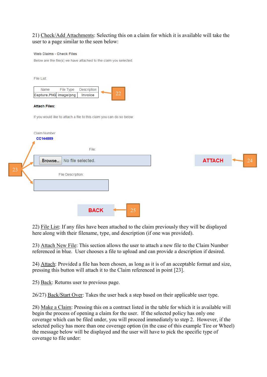### 21) Check/Add Attachments: Selecting this on a claim for which it is available will take the user to a page similar to the seen below:

#### Web Claims - Check Files

Below are the file(s) we have attached to the claim you selected.

| File List:                                                            |                        |    |  |               |    |
|-----------------------------------------------------------------------|------------------------|----|--|---------------|----|
| File Type<br>Name<br>Capture.PNG image/png                            | Description<br>Invoice | 22 |  |               |    |
| <b>Attach Files:</b>                                                  |                        |    |  |               |    |
| If you would like to attach a file to this claim you can do so below: |                        |    |  |               |    |
| <b>Claim Number</b><br>CC144889                                       | File:                  |    |  |               |    |
| Browse                                                                | No file selected.      |    |  | <b>ATTACH</b> | 24 |
| 23<br>File Description:                                               |                        |    |  |               |    |
|                                                                       |                        |    |  |               |    |
|                                                                       |                        |    |  |               |    |
|                                                                       | <b>BACK</b>            | 25 |  |               |    |

22) File List: If any files have been attached to the claim previously they will be displayed here along with their filename, type, and description (if one was provided).

23) Attach New File: This section allows the user to attach a new file to the Claim Number referenced in blue. User chooses a file to upload and can provide a description if desired.

24) Attach: Provided a file has been chosen, as long as it is of an acceptable format and size, pressing this button will attach it to the Claim referenced in point [23].

25) Back: Returns user to previous page.

26/27) Back/Start Over: Takes the user back a step based on their applicable user type.

28) Make a Claim: Pressing this on a contract listed in the table for which it is available will begin the process of opening a claim for the user. If the selected policy has only one coverage which can be filed under, you will proceed immediately to step 2. However, if the selected policy has more than one coverage option (in the case of this example Tire or Wheel) the message below will be displayed and the user will have to pick the specific type of coverage to file under: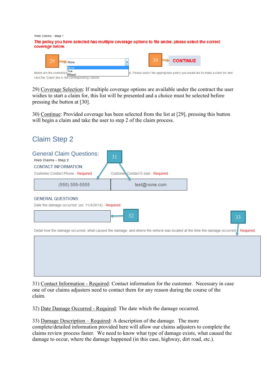Web Claims - Step 1 The policy you have selected has multiple coverage options to file under, please select the correct coverage below.



29) Coverage Selection: If multiple coverage options are available under the contract the user wishes to start a claim for, this list will be presented and a choice must be selected before pressing the button at [30].

30) Continue: Provided coverage has been selected from the list at [29], pressing this button will begin a claim and take the user to step 2 of the claim process.

<span id="page-10-1"></span><span id="page-10-0"></span>

| <b>Claim Step 2</b>                                                                                                                                                                                                           |                                          |    |
|-------------------------------------------------------------------------------------------------------------------------------------------------------------------------------------------------------------------------------|------------------------------------------|----|
| <b>General Claim Questions:</b><br>Web Claims - Step 2<br><b>CONTACT INFORMATION:</b><br>Customer Contact Phone - Required                                                                                                    | 31<br>Customer Contact E-mail - Required |    |
| $(555) 555-5555$                                                                                                                                                                                                              | test@none.com                            |    |
| <b>GENERAL QUESTIONS:</b><br>Date the damage occurred: (ex: 11/4/2014) - Required:<br>Detail how the damage occurred, what caused the damage, and where the vehicle was located at the time the damage occurred: [- Required: | 32                                       | 33 |
|                                                                                                                                                                                                                               |                                          |    |

31) Contact Information - Required: Contact information for the customer. Necessary in case one of our claims adjusters need to contact them for any reason during the course of the claim.

32) Date Damage Occurred - Required: The date which the damage occurred.

33) Damage Description – Required: A description of the damage. The more complete/detailed information provided here will allow our claims adjusters to complete the claims review process faster. We need to know what type of damage exists, what caused the damage to occur, where the damage happened (in this case, highway, dirt road, etc.).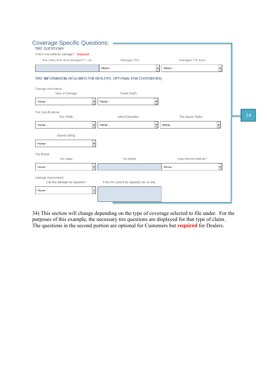<span id="page-11-0"></span>

| <b>Coverage Specific Questions:</b><br><b>TIRE QUESTIONS:</b>    |                                              |                          |                          |    |
|------------------------------------------------------------------|----------------------------------------------|--------------------------|--------------------------|----|
| Which Tire suffered damage? - Required:                          |                                              |                          |                          |    |
| How many tires were damaged? (1-4):                              | Damaged Tire:                                | Damaged Tire Area:       |                          |    |
|                                                                  | -None-<br>۰                                  | --None--                 | $\blacktriangledown$     |    |
| TIRE INFORMATION (REQUIRED FOR DEALERS, OPTIONAL FOR CUSTOMERS): |                                              |                          |                          |    |
| Damage Information:                                              |                                              |                          |                          |    |
| Type of Damage:                                                  | Tread Depth:                                 |                          |                          |    |
| -None-<br>▼                                                      | -None-<br>۰                                  |                          |                          |    |
| Tire Specifications:<br>Tire Width:                              | <b>Wheel Diameter:</b>                       | Tire Aspect Ratio:       |                          | 34 |
| --None--<br>۰                                                    | --None--<br>۰                                | --None--                 | $\blacktriangledown$     |    |
| Speed Rating:                                                    |                                              |                          |                          |    |
| -None-<br>▼                                                      |                                              |                          |                          |    |
| <b>Tire Brand:</b>                                               |                                              |                          |                          |    |
| Tire Make:                                                       | Tire Model:                                  | Does the tire hold air?: |                          |    |
| -None-<br>۰                                                      |                                              | --None--                 | $\overline{\phantom{a}}$ |    |
| Damage Assessment:<br>Can the damage be repaired?:               | If the tire cannot be repaired, tell us why: |                          |                          |    |
| -None-<br>۰                                                      |                                              |                          |                          |    |
|                                                                  |                                              |                          |                          |    |

34) This section will change depending on the type of coverage selected to file under. For the purposes of this example, the necessary tire questions are displayed for that type of claim. The questions in the second portion are optional for Customers but **required** for Dealers.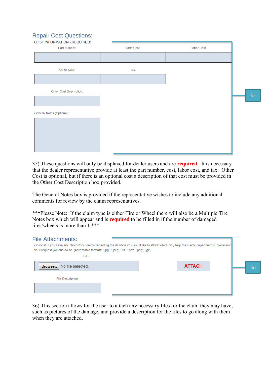# <span id="page-12-0"></span>Repair Cost Questions:

| <b>COST INFORMATION - REQUIRED:</b> |             |             |
|-------------------------------------|-------------|-------------|
| Part Number:                        | Parts Cost: | Labor Cost: |
|                                     |             |             |
| Other Cost:                         | Tax:        |             |
|                                     |             |             |
| Other Cost Description:             |             |             |
|                                     |             |             |
| General Notes (Optional):           |             |             |
|                                     |             |             |
|                                     |             |             |
|                                     |             |             |
|                                     |             |             |

35) These questions will only be displayed for dealer users and are **required**. It is necessary that the dealer representative provide at least the part number, cost, labor cost, and tax. Other Cost is optional, but if there is an optional cost a description of that cost must be provided in the Other Cost Description box provided.

The General Notes box is provided if the representative wishes to include any additional comments for review by the claim representatives.

\*\*\*Please Note: If the claim type is either Tire or Wheel there will also be a Multiple Tire Notes box which will appear and is **required** to be filled in if the number of damaged tires/wheels is more than 1<sup>\*\*\*</sup>

<span id="page-12-1"></span>

| <b>File Attachments:</b><br>Optional: If you have any photos/documents regarding the damage you would like to attach which may help the claims department in processing<br>your request you can do so. (Acceptable formats: '.jpg', '.jpeg', '.tif', '.pdf', '.png', '.gif')<br>File: |               |    |
|---------------------------------------------------------------------------------------------------------------------------------------------------------------------------------------------------------------------------------------------------------------------------------------|---------------|----|
| No file selected.<br>Browse                                                                                                                                                                                                                                                           | <b>ATTACH</b> | 36 |
| File Description:                                                                                                                                                                                                                                                                     |               |    |
|                                                                                                                                                                                                                                                                                       |               |    |

36) This section allows for the user to attach any necessary files for the claim they may have, such as pictures of the damage, and provide a description for the files to go along with them when they are attached.

35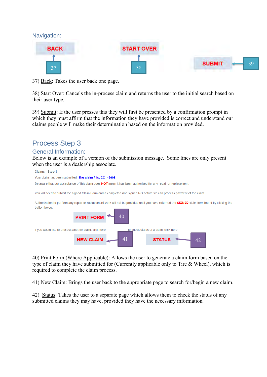<span id="page-13-0"></span>



37) Back: Takes the user back one page.

38) Start Over: Cancels the in-process claim and returns the user to the initial search based on their user type.

39) Submit: If the user presses this they will first be presented by a confirmation prompt in which they must affirm that the information they have provided is correct and understand our claims people will make their determination based on the information provided.

# <span id="page-13-1"></span>Process Step 3

## <span id="page-13-2"></span>General Information:

Below is an example of a version of the submission message. Some lines are only present when the user is a dealership associate.



40) Print Form (Where Applicable): Allows the user to generate a claim form based on the type of claim they have submitted for (Currently applicable only to Tire & Wheel), which is required to complete the claim process.

41) New Claim: Brings the user back to the appropriate page to search for/begin a new claim.

42) Status: Takes the user to a separate page which allows them to check the status of any submitted claims they may have, provided they have the necessary information.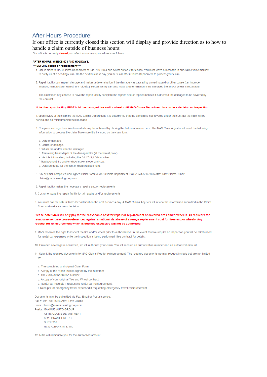## <span id="page-14-0"></span>**After Hours Procedure:**

### If our office is currently closed this section will display and provide direction as to how to handle a claim outside of business hours:

Our office is currently **closed** our after-Hours claims procedure is as follows

#### AFTER HOURS WEEKENDS AND HOLIDAYS:

#### \*\*\*\* BEFORE repair or replacement\*\*

- 1. Call in claim to MAG Claims Department at 941-739-0044 and select option 2 for claims. You must leave a message in our claims voice mailbox to notify us of a pending claim. On the next business day, you must call MAG Claims Department to process your claim.
- 2. Renair facility can inspect damage and makes a determination if the damage was caused by a road bazard or other cause (i.e. improper inflation, manufacturer defect, dry rot, etc.). Repair facility can also make a determination if the damaged tire and/or wheel is repairable.
- 3. The Customer may choose to have the repair facility complete the repairs and/or replacements if it is deemed the damaged to be covered by the contract

#### Note: the repair facility MUST hold the damaged tire and/or wheel until MAG Claims Department has made a decision on inspection.

If, upon review of the claim by the MAG Claims Department, it is determined that the damage is not covered under the contract the claim will be denied and no reimbursement will be made.

- 4. Complete and sign the claim form which may be obtained by clicking the button above or here. The MAG Claim Adjuster will need the following information to process the claim. Make sure it is included on the claim form.
	- a. Date of damage
- b. Cause of damage.
- c. Which fire and/or wheel is damaged
- d. Remaining tread depth of the damaged tire (at the lowest point)
- e. Vehicle information, including the full 17 digit VIN number.
- f. Replacement fire and/or wheel make, model and size
- g. Detailed guote for the cost of repair/replacement
- 5. Fax or email completed and signed Claim Form to MAG Claims Department. Fax #: 941-538-3026 Attn: T&W Claims. Email: claims@maximusautogroup.com
- 6. Repair facility makes the necessary repairs and/or replacements
- 7. Customer pays the repair facility for all repairs and/or replacements
- 8. You must call the MAG Claims Department on the next business day. A MAG Claims Adjuster will review the information submitted in the Claim Form and make a claims decision

#### Please note: MAG will only pay for the reasonable cost for repair or replacement of covered tires and/or wheels. All requests for reimbursement are cross-referenced against a national database of average replacement cost for tires and/or wheels. Any request for reimbursement which is deemed excessive will not be authorized.

9. MAG reserves the right to inspect the tire and/or wheel prior to authorization. In the event that we require an inspection you will be reimbursed for rental car expenses while the inspection is being performed. See contract for details

10. Provided coverage is confirmed, we will authorize your claim. You will receive an authorization number and an authorized amount.

- 11. Submit the required documents to MAG Claims Rep for reimbursement. The required documents we may request include but are not limited  $\overline{10}$
- a. The completed and signed Claim Form.
- b. A copy of the repair invoice signed by the customer
- c. The claim authorization number.
- d. A copy of your original Tire and Wheel contract.
- e. Rental car receipts if requesting rental car reimbursement.
- f. Receipts for emergency travel expensed if requesting emergency travel reimbursement.

Documents may be submitted via Fax, Email or Postal service Fax #: 941-538-3026 Attn: T&W Claims Email: claims@maximusautogroup.com Postal: MAXIMUS AUTO GROUP ATTN: CLAIMS DEPARTMENT 3626 GRANT LINE RD SUITE 207 NEW ALBANY, IN 47150

12. MAG will reimburse you for the authorized amount.